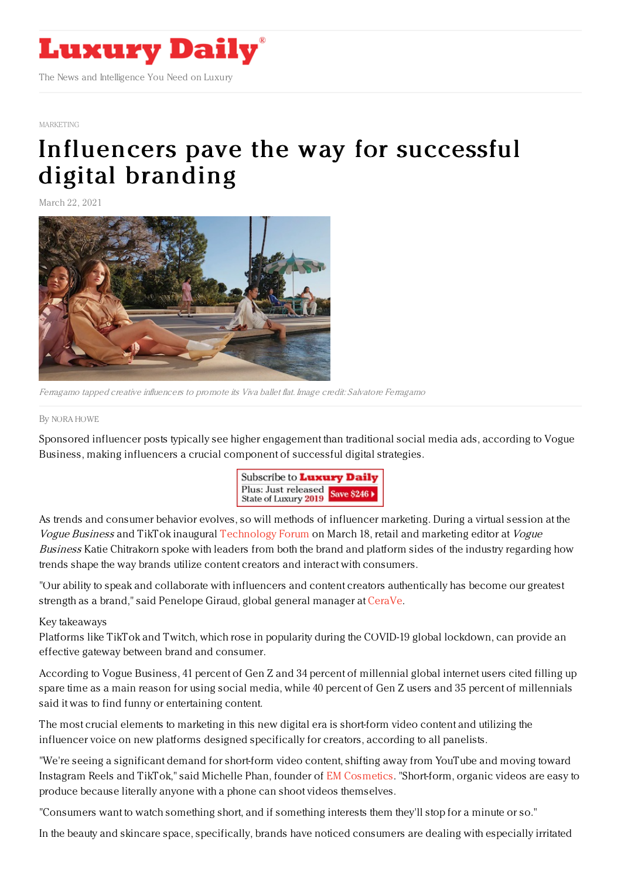

#### [MARKETING](https://www.luxurydaily.com/category/sectors/marketing-industry-sectors/)

# [Influencers](https://www.luxurydaily.com/?p=325371) pave the way for successful digital branding

March 22, 2021



Ferragamo tapped creative influencers to promote its Viva ballet flat. Image credit: Salvatore Ferragamo

#### By NORA [HOWE](file:///author/nora-howe)

Sponsored influencer posts typically see higher engagement than traditional social media ads, according to Vogue Business, making influencers a crucial component of successful digital strategies.



As trends and consumer behavior evolves, so will methods of influencer marketing. During a virtual session at the Vogue Business and TikTok inaugural [Technology](https://events.voguebusiness.com/technologyforum2021) Forum on March 18, retail and marketing editor at Vogue Business Katie Chitrakorn spoke with leaders from both the brand and platform sides of the industry regarding how trends shape the way brands utilize content creators and interact with consumers.

"Our ability to speak and collaborate with influencers and content creators authentically has become our greatest strength as a brand," said Penelope Giraud, global general manager at [CeraVe.](https://www.cerave.com/)

### Key takeaways

Platforms like TikTok and Twitch, which rose in popularity during the COVID-19 global lockdown, can provide an effective gateway between brand and consumer.

According to Vogue Business, 41 percent of Gen Z and 34 percent of millennial global internet users cited filling up spare time as a main reason for using social media, while 40 percent of Gen Z users and 35 percent of millennials said it was to find funny or entertaining content.

The most crucial elements to marketing in this new digital era is short-form video content and utilizing the influencer voice on new platforms designed specifically for creators, according to all panelists.

"We're seeing a significant demand for short-form video content, shifting away from YouTube and moving toward Instagram Reels and TikTok," said Michelle Phan, founder of EM [Cosmetics](https://www.emcosmetics.com/). "Short-form, organic videos are easy to produce because literally anyone with a phone can shoot videos themselves.

"Consumers want to watch something short, and if something interests them they'll stop for a minute or so."

In the beauty and skincare space, specifically, brands have noticed consumers are dealing with especially irritated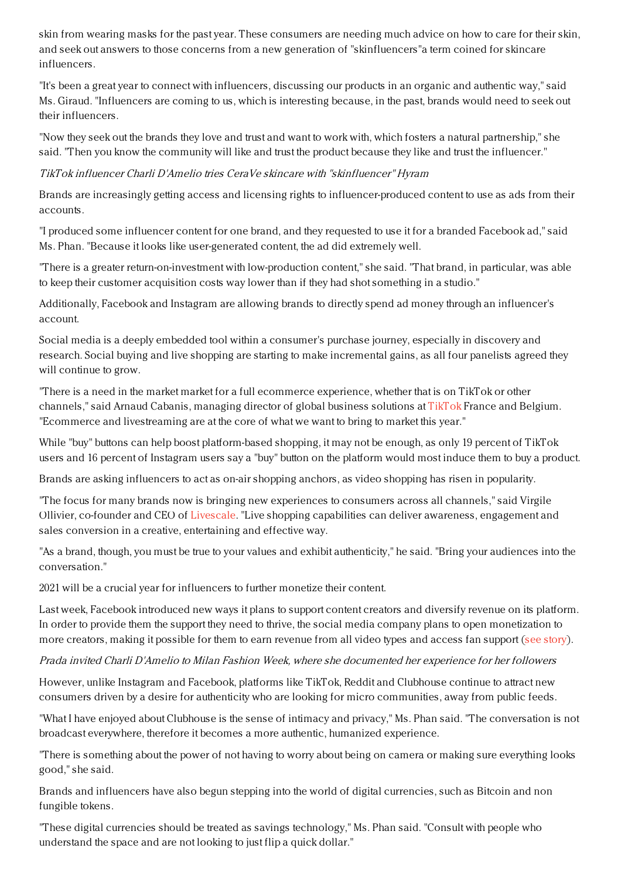skin from wearing masks for the past year. These consumers are needing much advice on how to care for their skin, and seek out answers to those concerns from a new generation of "skinfluencers"a term coined for skincare influencers.

"It's been a great year to connect with influencers, discussing our products in an organic and authentic way," said Ms. Giraud. "Influencers are coming to us, which is interesting because, in the past, brands would need to seek out their influencers.

"Now they seek out the brands they love and trust and want to work with, which fosters a natural partnership," she said. "Then you know the community will like and trust the product because they like and trust the influencer."

TikTok influencer Charli D'Amelio tries CeraVe skincare with "skinfluencer" Hyram

Brands are increasingly getting access and licensing rights to influencer-produced content to use as ads from their accounts.

"I produced some influencer content for one brand, and they requested to use it for a branded Facebook ad," said Ms. Phan. "Because it looks like user-generated content, the ad did extremely well.

"There is a greater return-on-investment with low-production content," she said. "That brand, in particular, was able to keep their customer acquisition costs way lower than if they had shot something in a studio."

Additionally, Facebook and Instagram are allowing brands to directly spend ad money through an influencer's account.

Social media is a deeply embedded tool within a consumer's purchase journey, especially in discovery and research. Social buying and live shopping are starting to make incremental gains, as all four panelists agreed they will continue to grow.

"There is a need in the market market for a full ecommerce experience, whether that is on TikTok or other channels," said Arnaud Cabanis, managing director of global business solutions at [TikTok](https://www.tiktok.com/) France and Belgium. "Ecommerce and livestreaming are at the core of what we want to bring to market this year."

While "buy" buttons can help boost platform-based shopping, it may not be enough, as only 19 percent of TikTok users and 16 percent of Instagram users say a "buy" button on the platform would most induce them to buy a product.

Brands are asking influencers to act as on-air shopping anchors, as video shopping has risen in popularity.

"The focus for many brands now is bringing new experiences to consumers across all channels," said Virgile Ollivier, co-founder and CEO of [Livescale](https://www.livescale.tv/). "Live shopping capabilities can deliver awareness, engagement and sales conversion in a creative, entertaining and effective way.

"As a brand, though, you must be true to your values and exhibit authenticity," he said. "Bring your audiences into the conversation."

2021 will be a crucial year for influencers to further monetize their content.

Last week, Facebook introduced new ways it plans to support content creators and diversify revenue on its platform. In order to provide them the support they need to thrive, the social media company plans to open monetization to more creators, making it possible for them to earn revenue from all video types and access fan support (see [story](https://www.luxurydaily.com/facebook-rolls-out-new-tools-to-help-content-creators-earn-money/)).

Prada invited Charli D'Amelio to Milan Fashion Week, where she documented her experience for her followers

However, unlike Instagram and Facebook, platforms like TikTok, Reddit and Clubhouse continue to attract new consumers driven by a desire for authenticity who are looking for micro communities, away from public feeds.

"What I have enjoyed about Clubhouse is the sense of intimacy and privacy," Ms. Phan said. "The conversation is not broadcast everywhere, therefore it becomes a more authentic, humanized experience.

"There is something about the power of not having to worry about being on camera or making sure everything looks good," she said.

Brands and influencers have also begun stepping into the world of digital currencies, such as Bitcoin and non fungible tokens.

"These digital currencies should be treated as savings technology," Ms. Phan said. "Consult with people who understand the space and are not looking to just flip a quick dollar."